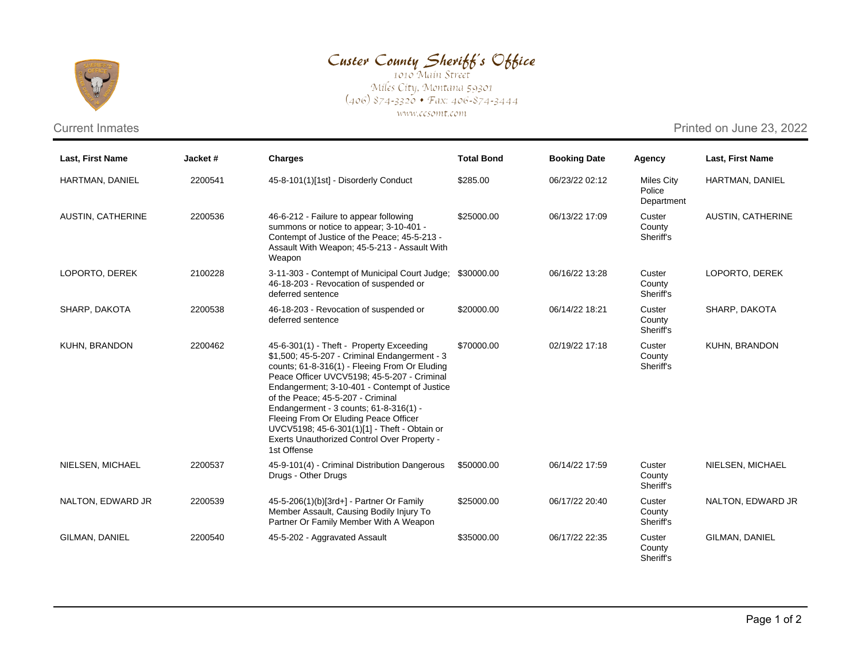

## Custer County Sheriff's Office

Miles City, Montana 59301<br>(406) 874-3320 • Fax: 406-874-3444 www.ccsomt.com

Current Inmates **Printed on June 23, 2022** 

| <b>Last, First Name</b>  | Jacket# | <b>Charges</b>                                                                                                                                                                                                                                                                                                                                                                                                                                                                  | <b>Total Bond</b> | <b>Booking Date</b> | Agency                                    | <b>Last, First Name</b> |
|--------------------------|---------|---------------------------------------------------------------------------------------------------------------------------------------------------------------------------------------------------------------------------------------------------------------------------------------------------------------------------------------------------------------------------------------------------------------------------------------------------------------------------------|-------------------|---------------------|-------------------------------------------|-------------------------|
| HARTMAN, DANIEL          | 2200541 | 45-8-101(1)[1st] - Disorderly Conduct                                                                                                                                                                                                                                                                                                                                                                                                                                           | \$285.00          | 06/23/22 02:12      | <b>Miles City</b><br>Police<br>Department | HARTMAN, DANIEL         |
| <b>AUSTIN, CATHERINE</b> | 2200536 | 46-6-212 - Failure to appear following<br>summons or notice to appear; 3-10-401 -<br>Contempt of Justice of the Peace; 45-5-213 -<br>Assault With Weapon; 45-5-213 - Assault With<br>Weapon                                                                                                                                                                                                                                                                                     | \$25000.00        | 06/13/22 17:09      | Custer<br>County<br>Sheriff's             | AUSTIN, CATHERINE       |
| LOPORTO, DEREK           | 2100228 | 3-11-303 - Contempt of Municipal Court Judge;<br>46-18-203 - Revocation of suspended or<br>deferred sentence                                                                                                                                                                                                                                                                                                                                                                    | \$30000.00        | 06/16/22 13:28      | Custer<br>County<br>Sheriff's             | LOPORTO, DEREK          |
| SHARP, DAKOTA            | 2200538 | 46-18-203 - Revocation of suspended or<br>deferred sentence                                                                                                                                                                                                                                                                                                                                                                                                                     | \$20000.00        | 06/14/22 18:21      | Custer<br>County<br>Sheriff's             | SHARP, DAKOTA           |
| KUHN, BRANDON            | 2200462 | 45-6-301(1) - Theft - Property Exceeding<br>\$1,500; 45-5-207 - Criminal Endangerment - 3<br>counts; 61-8-316(1) - Fleeing From Or Eluding<br>Peace Officer UVCV5198; 45-5-207 - Criminal<br>Endangerment; 3-10-401 - Contempt of Justice<br>of the Peace; 45-5-207 - Criminal<br>Endangerment - 3 counts; 61-8-316(1) -<br>Fleeing From Or Eluding Peace Officer<br>UVCV5198; 45-6-301(1)[1] - Theft - Obtain or<br>Exerts Unauthorized Control Over Property -<br>1st Offense | \$70000.00        | 02/19/22 17:18      | Custer<br>County<br>Sheriff's             | KUHN, BRANDON           |
| NIELSEN, MICHAEL         | 2200537 | 45-9-101(4) - Criminal Distribution Dangerous<br>Drugs - Other Drugs                                                                                                                                                                                                                                                                                                                                                                                                            | \$50000.00        | 06/14/22 17:59      | Custer<br>County<br>Sheriff's             | NIELSEN, MICHAEL        |
| NALTON, EDWARD JR        | 2200539 | 45-5-206(1)(b)[3rd+] - Partner Or Family<br>Member Assault, Causing Bodily Injury To<br>Partner Or Family Member With A Weapon                                                                                                                                                                                                                                                                                                                                                  | \$25000.00        | 06/17/22 20:40      | Custer<br>County<br>Sheriff's             | NALTON, EDWARD JR       |
| GILMAN, DANIEL           | 2200540 | 45-5-202 - Aggravated Assault                                                                                                                                                                                                                                                                                                                                                                                                                                                   | \$35000.00        | 06/17/22 22:35      | Custer<br>County<br>Sheriff's             | GILMAN, DANIEL          |